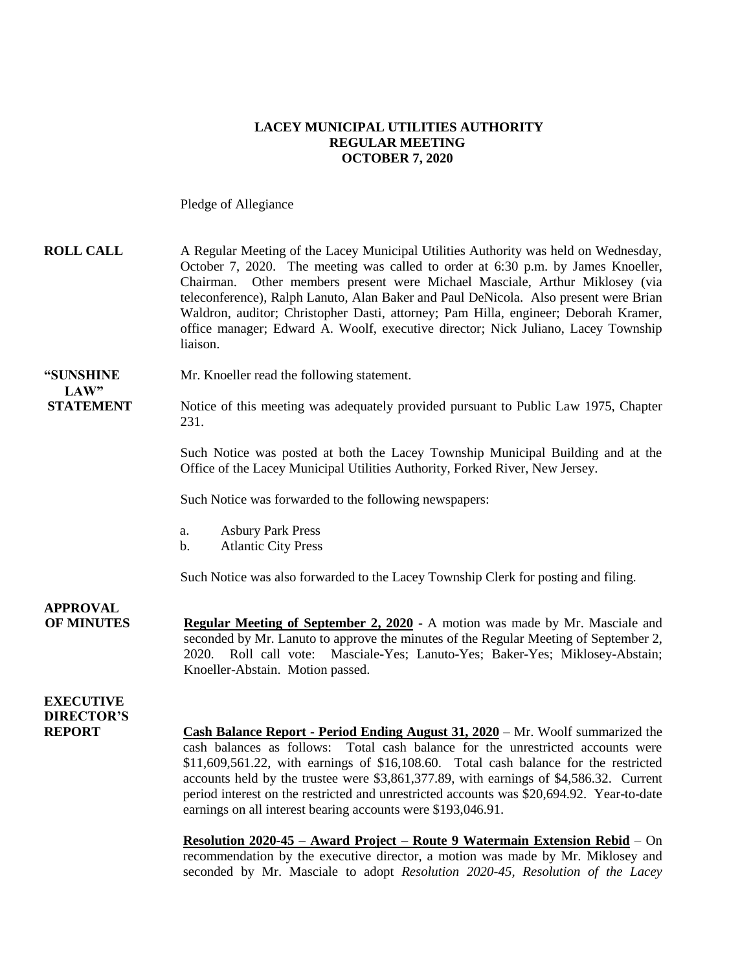### **LACEY MUNICIPAL UTILITIES AUTHORITY REGULAR MEETING OCTOBER 7, 2020**

Pledge of Allegiance

| <b>ROLL CALL</b>                                       | A Regular Meeting of the Lacey Municipal Utilities Authority was held on Wednesday,<br>October 7, 2020. The meeting was called to order at 6:30 p.m. by James Knoeller,<br>Other members present were Michael Masciale, Arthur Miklosey (via<br>Chairman.<br>teleconference), Ralph Lanuto, Alan Baker and Paul DeNicola. Also present were Brian<br>Waldron, auditor; Christopher Dasti, attorney; Pam Hilla, engineer; Deborah Kramer,<br>office manager; Edward A. Woolf, executive director; Nick Juliano, Lacey Township<br>liaison. |
|--------------------------------------------------------|-------------------------------------------------------------------------------------------------------------------------------------------------------------------------------------------------------------------------------------------------------------------------------------------------------------------------------------------------------------------------------------------------------------------------------------------------------------------------------------------------------------------------------------------|
| "SUNSHINE                                              | Mr. Knoeller read the following statement.                                                                                                                                                                                                                                                                                                                                                                                                                                                                                                |
| LAW"<br><b>STATEMENT</b>                               | Notice of this meeting was adequately provided pursuant to Public Law 1975, Chapter<br>231.                                                                                                                                                                                                                                                                                                                                                                                                                                               |
|                                                        | Such Notice was posted at both the Lacey Township Municipal Building and at the<br>Office of the Lacey Municipal Utilities Authority, Forked River, New Jersey.                                                                                                                                                                                                                                                                                                                                                                           |
|                                                        | Such Notice was forwarded to the following newspapers:                                                                                                                                                                                                                                                                                                                                                                                                                                                                                    |
|                                                        | <b>Asbury Park Press</b><br>a.<br><b>Atlantic City Press</b><br>b.                                                                                                                                                                                                                                                                                                                                                                                                                                                                        |
|                                                        | Such Notice was also forwarded to the Lacey Township Clerk for posting and filing.                                                                                                                                                                                                                                                                                                                                                                                                                                                        |
| <b>APPROVAL</b><br><b>OF MINUTES</b>                   | <b>Regular Meeting of September 2, 2020</b> - A motion was made by Mr. Masciale and<br>seconded by Mr. Lanuto to approve the minutes of the Regular Meeting of September 2,<br>2020. Roll call vote: Masciale-Yes; Lanuto-Yes; Baker-Yes; Miklosey-Abstain;<br>Knoeller-Abstain. Motion passed.                                                                                                                                                                                                                                           |
| <b>EXECUTIVE</b><br><b>DIRECTOR'S</b><br><b>REPORT</b> | <b>Cash Balance Report - Period Ending August 31, 2020</b> – Mr. Woolf summarized the<br>cash balances as follows: Total cash balance for the unrestricted accounts were                                                                                                                                                                                                                                                                                                                                                                  |

\$11,609,561.22, with earnings of \$16,108.60. Total cash balance for the restricted accounts held by the trustee were \$3,861,377.89, with earnings of \$4,586.32. Current period interest on the restricted and unrestricted accounts was \$20,694.92. Year-to-date earnings on all interest bearing accounts were \$193,046.91.

**Resolution 2020-45 – Award Project – Route 9 Watermain Extension Rebid** – On recommendation by the executive director, a motion was made by Mr. Miklosey and seconded by Mr. Masciale to adopt *Resolution 2020-45, Resolution of the Lacey*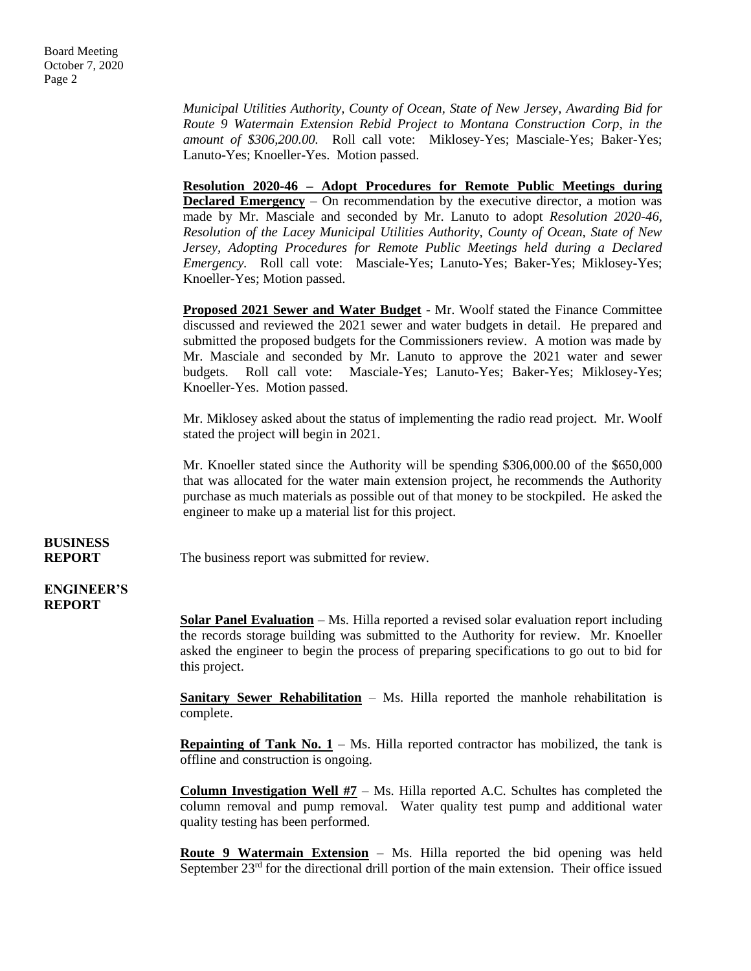*Municipal Utilities Authority, County of Ocean, State of New Jersey, Awarding Bid for Route 9 Watermain Extension Rebid Project to Montana Construction Corp, in the amount of \$306,200.00.* Roll call vote: Miklosey-Yes; Masciale-Yes; Baker-Yes; Lanuto-Yes; Knoeller-Yes. Motion passed.

**Resolution 2020-46 – Adopt Procedures for Remote Public Meetings during Declared Emergency** – On recommendation by the executive director, a motion was made by Mr. Masciale and seconded by Mr. Lanuto to adopt *Resolution 2020-46, Resolution of the Lacey Municipal Utilities Authority, County of Ocean, State of New Jersey, Adopting Procedures for Remote Public Meetings held during a Declared Emergency.* Roll call vote: Masciale-Yes; Lanuto-Yes; Baker-Yes; Miklosey-Yes; Knoeller-Yes; Motion passed.

**Proposed 2021 Sewer and Water Budget** - Mr. Woolf stated the Finance Committee discussed and reviewed the 2021 sewer and water budgets in detail. He prepared and submitted the proposed budgets for the Commissioners review. A motion was made by Mr. Masciale and seconded by Mr. Lanuto to approve the 2021 water and sewer budgets. Roll call vote: Masciale-Yes; Lanuto-Yes; Baker-Yes; Miklosey-Yes; Knoeller-Yes. Motion passed.

Mr. Miklosey asked about the status of implementing the radio read project. Mr. Woolf stated the project will begin in 2021.

Mr. Knoeller stated since the Authority will be spending \$306,000.00 of the \$650,000 that was allocated for the water main extension project, he recommends the Authority purchase as much materials as possible out of that money to be stockpiled. He asked the engineer to make up a material list for this project.

## **BUSINESS**

**REPORT** The business report was submitted for review.

### **ENGINEER'S REPORT**

**Solar Panel Evaluation** – Ms. Hilla reported a revised solar evaluation report including the records storage building was submitted to the Authority for review. Mr. Knoeller asked the engineer to begin the process of preparing specifications to go out to bid for this project.

**Sanitary Sewer Rehabilitation** – Ms. Hilla reported the manhole rehabilitation is complete.

**Repainting of Tank No.**  $1 - Ms$ **.** Hilla reported contractor has mobilized, the tank is offline and construction is ongoing.

**Column Investigation Well #7** – Ms. Hilla reported A.C. Schultes has completed the column removal and pump removal. Water quality test pump and additional water quality testing has been performed.

**Route 9 Watermain Extension** – Ms. Hilla reported the bid opening was held September 23<sup>rd</sup> for the directional drill portion of the main extension. Their office issued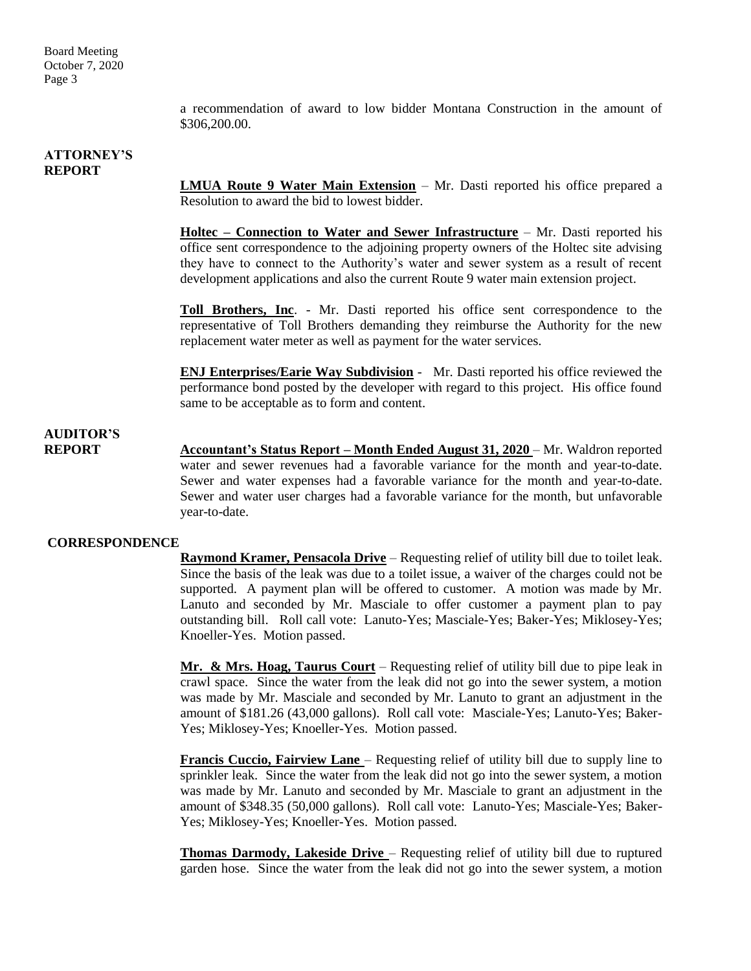Board Meeting October 7, 2020 Page 3

> a recommendation of award to low bidder Montana Construction in the amount of \$306,200.00.

### **ATTORNEY'S REPORT**

**LMUA Route 9 Water Main Extension** – Mr. Dasti reported his office prepared a Resolution to award the bid to lowest bidder.

**Holtec – Connection to Water and Sewer Infrastructure** – Mr. Dasti reported his office sent correspondence to the adjoining property owners of the Holtec site advising they have to connect to the Authority's water and sewer system as a result of recent development applications and also the current Route 9 water main extension project.

**Toll Brothers, Inc**. - Mr. Dasti reported his office sent correspondence to the representative of Toll Brothers demanding they reimburse the Authority for the new replacement water meter as well as payment for the water services.

**ENJ Enterprises/Earie Way Subdivision** - Mr. Dasti reported his office reviewed the performance bond posted by the developer with regard to this project. His office found same to be acceptable as to form and content.

### **AUDITOR'S**

**REPORT Accountant's Status Report – Month Ended August 31, 2020** – Mr. Waldron reported water and sewer revenues had a favorable variance for the month and year-to-date. Sewer and water expenses had a favorable variance for the month and year-to-date. Sewer and water user charges had a favorable variance for the month, but unfavorable year-to-date.

### **CORRESPONDENCE**

**Raymond Kramer, Pensacola Drive** – Requesting relief of utility bill due to toilet leak. Since the basis of the leak was due to a toilet issue, a waiver of the charges could not be supported. A payment plan will be offered to customer. A motion was made by Mr. Lanuto and seconded by Mr. Masciale to offer customer a payment plan to pay outstanding bill. Roll call vote: Lanuto-Yes; Masciale-Yes; Baker-Yes; Miklosey-Yes; Knoeller-Yes. Motion passed.

**Mr. & Mrs. Hoag, Taurus Court** – Requesting relief of utility bill due to pipe leak in crawl space. Since the water from the leak did not go into the sewer system, a motion was made by Mr. Masciale and seconded by Mr. Lanuto to grant an adjustment in the amount of \$181.26 (43,000 gallons). Roll call vote: Masciale-Yes; Lanuto-Yes; Baker-Yes; Miklosey-Yes; Knoeller-Yes. Motion passed.

**Francis Cuccio, Fairview Lane** – Requesting relief of utility bill due to supply line to sprinkler leak. Since the water from the leak did not go into the sewer system, a motion was made by Mr. Lanuto and seconded by Mr. Masciale to grant an adjustment in the amount of \$348.35 (50,000 gallons). Roll call vote: Lanuto-Yes; Masciale-Yes; Baker-Yes; Miklosey-Yes; Knoeller-Yes. Motion passed.

**Thomas Darmody, Lakeside Drive** – Requesting relief of utility bill due to ruptured garden hose. Since the water from the leak did not go into the sewer system, a motion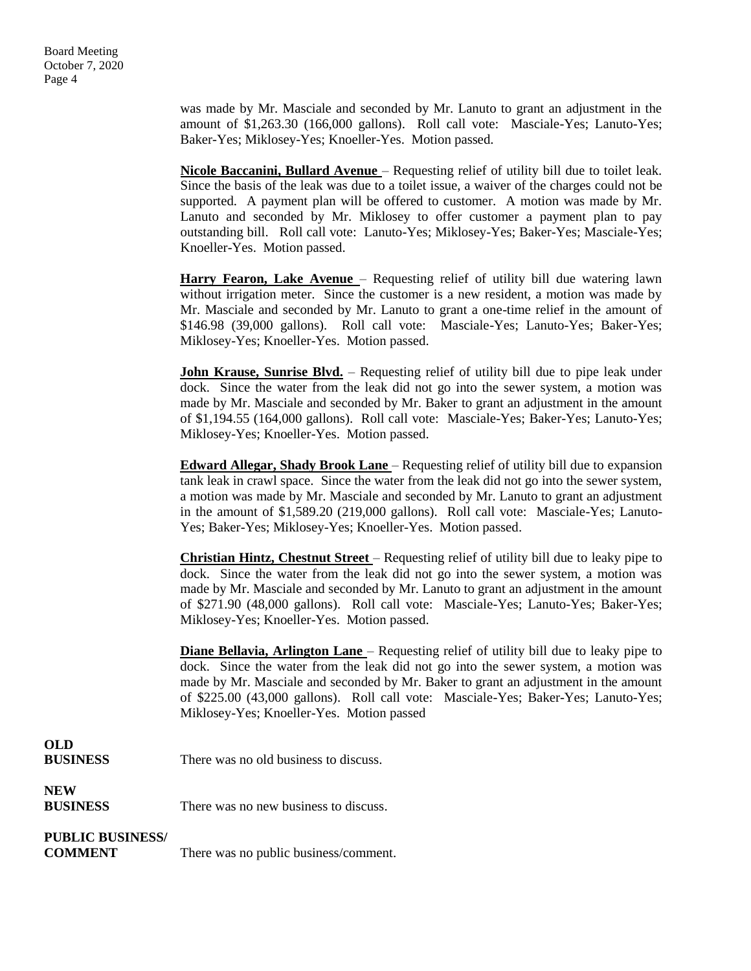was made by Mr. Masciale and seconded by Mr. Lanuto to grant an adjustment in the amount of \$1,263.30 (166,000 gallons). Roll call vote: Masciale-Yes; Lanuto-Yes; Baker-Yes; Miklosey-Yes; Knoeller-Yes. Motion passed.

**Nicole Baccanini, Bullard Avenue** – Requesting relief of utility bill due to toilet leak. Since the basis of the leak was due to a toilet issue, a waiver of the charges could not be supported. A payment plan will be offered to customer. A motion was made by Mr. Lanuto and seconded by Mr. Miklosey to offer customer a payment plan to pay outstanding bill. Roll call vote: Lanuto-Yes; Miklosey-Yes; Baker-Yes; Masciale-Yes; Knoeller-Yes. Motion passed.

**Harry Fearon, Lake Avenue** – Requesting relief of utility bill due watering lawn without irrigation meter. Since the customer is a new resident, a motion was made by Mr. Masciale and seconded by Mr. Lanuto to grant a one-time relief in the amount of \$146.98 (39,000 gallons). Roll call vote: Masciale-Yes; Lanuto-Yes; Baker-Yes; Miklosey-Yes; Knoeller-Yes. Motion passed.

**John Krause, Sunrise Blvd.** – Requesting relief of utility bill due to pipe leak under dock. Since the water from the leak did not go into the sewer system, a motion was made by Mr. Masciale and seconded by Mr. Baker to grant an adjustment in the amount of \$1,194.55 (164,000 gallons). Roll call vote: Masciale-Yes; Baker-Yes; Lanuto-Yes; Miklosey-Yes; Knoeller-Yes. Motion passed.

**Edward Allegar, Shady Brook Lane** – Requesting relief of utility bill due to expansion tank leak in crawl space. Since the water from the leak did not go into the sewer system, a motion was made by Mr. Masciale and seconded by Mr. Lanuto to grant an adjustment in the amount of \$1,589.20 (219,000 gallons). Roll call vote: Masciale-Yes; Lanuto-Yes; Baker-Yes; Miklosey-Yes; Knoeller-Yes. Motion passed.

**Christian Hintz, Chestnut Street** – Requesting relief of utility bill due to leaky pipe to dock. Since the water from the leak did not go into the sewer system, a motion was made by Mr. Masciale and seconded by Mr. Lanuto to grant an adjustment in the amount of \$271.90 (48,000 gallons). Roll call vote: Masciale-Yes; Lanuto-Yes; Baker-Yes; Miklosey-Yes; Knoeller-Yes. Motion passed.

**Diane Bellavia, Arlington Lane** – Requesting relief of utility bill due to leaky pipe to dock. Since the water from the leak did not go into the sewer system, a motion was made by Mr. Masciale and seconded by Mr. Baker to grant an adjustment in the amount of \$225.00 (43,000 gallons). Roll call vote: Masciale-Yes; Baker-Yes; Lanuto-Yes; Miklosey-Yes; Knoeller-Yes. Motion passed

| VW              |                                       |
|-----------------|---------------------------------------|
| <b>BUSINESS</b> | There was no old business to discuss. |

**NEW**

**OLD**

**BUSINESS** There was no new business to discuss.

## **PUBLIC BUSINESS/**

**COMMENT** There was no public business/comment.